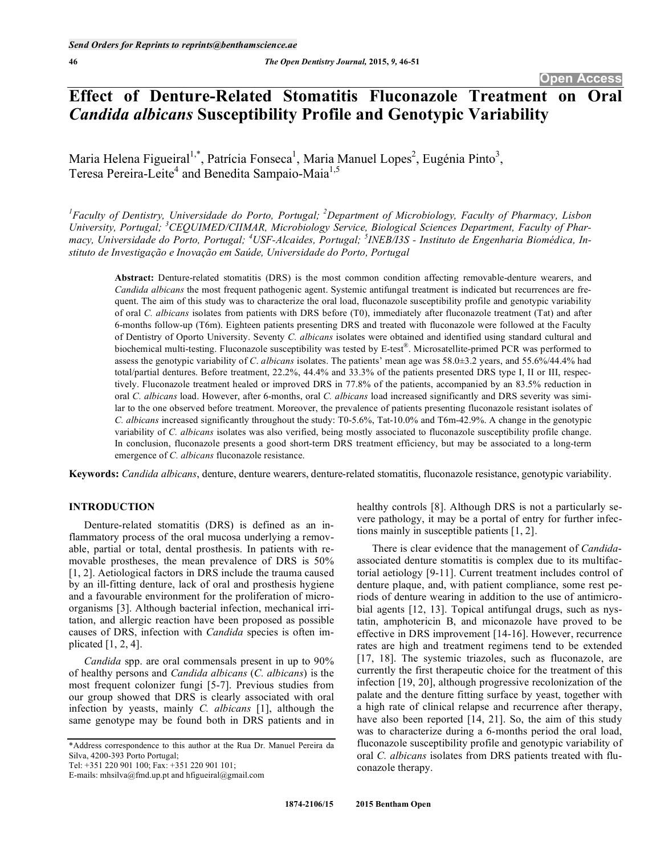# **Effect of Denture-Related Stomatitis Fluconazole Treatment on Oral**  *Candida albicans* **Susceptibility Profile and Genotypic Variability**

Maria Helena Figueiral<sup>1,\*</sup>, Patrícia Fonseca<sup>1</sup>, Maria Manuel Lopes<sup>2</sup>, Eugénia Pinto<sup>3</sup>, Teresa Pereira-Leite<sup>4</sup> and Benedita Sampaio-Maia<sup>1,5</sup>

*1 Faculty of Dentistry, Universidade do Porto, Portugal; 2Department of Microbiology, Faculty of Pharmacy, Lisbon University, Portugal; <sup>3</sup> CEQUIMED/CIIMAR, Microbiology Service, Biological Sciences Department, Faculty of Pharmacy, Universidade do Porto, Portugal; <sup>4</sup> USF-Alcaides, Portugal; <sup>5</sup> INEB/I3S - Instituto de Engenharia Biomédica, Instituto de Investigação e Inovação em Saúde, Universidade do Porto, Portugal* 

**Abstract:** Denture-related stomatitis (DRS) is the most common condition affecting removable-denture wearers, and *Candida albicans* the most frequent pathogenic agent. Systemic antifungal treatment is indicated but recurrences are frequent. The aim of this study was to characterize the oral load, fluconazole susceptibility profile and genotypic variability of oral *C. albicans* isolates from patients with DRS before (T0), immediately after fluconazole treatment (Tat) and after 6-months follow-up (T6m). Eighteen patients presenting DRS and treated with fluconazole were followed at the Faculty of Dentistry of Oporto University. Seventy *C. albicans* isolates were obtained and identified using standard cultural and biochemical multi-testing. Fluconazole susceptibility was tested by E-test®. Microsatellite-primed PCR was performed to assess the genotypic variability of *C*. *albicans* isolates. The patients' mean age was 58.0±3.2 years, and 55.6%/44.4% had total/partial dentures. Before treatment, 22.2%, 44.4% and 33.3% of the patients presented DRS type I, II or III, respectively. Fluconazole treatment healed or improved DRS in 77.8% of the patients, accompanied by an 83.5% reduction in oral *C. albicans* load. However, after 6-months, oral *C. albicans* load increased significantly and DRS severity was similar to the one observed before treatment. Moreover, the prevalence of patients presenting fluconazole resistant isolates of *C. albicans* increased significantly throughout the study: T0-5.6%, Tat-10.0% and T6m-42.9%. A change in the genotypic variability of *C. albicans* isolates was also verified, being mostly associated to fluconazole susceptibility profile change. In conclusion, fluconazole presents a good short-term DRS treatment efficiency, but may be associated to a long-term emergence of *C. albicans* fluconazole resistance.

**Keywords:** *Candida albicans*, denture, denture wearers, denture-related stomatitis, fluconazole resistance, genotypic variability.

# **INTRODUCTION**

Denture-related stomatitis (DRS) is defined as an inflammatory process of the oral mucosa underlying a removable, partial or total, dental prosthesis. In patients with removable prostheses, the mean prevalence of DRS is 50% [1, 2]. Aetiological factors in DRS include the trauma caused by an ill-fitting denture, lack of oral and prosthesis hygiene and a favourable environment for the proliferation of microorganisms [3]. Although bacterial infection, mechanical irritation, and allergic reaction have been proposed as possible causes of DRS, infection with *Candida* species is often implicated [1, 2, 4].

*Candida* spp. are oral commensals present in up to 90% of healthy persons and *Candida albicans* (*C. albicans*) is the most frequent colonizer fungi [5-7]. Previous studies from our group showed that DRS is clearly associated with oral infection by yeasts, mainly *C. albicans* [1], although the same genotype may be found both in DRS patients and in

Tel: +351 220 901 100; Fax: +351 220 901 101;

E-mails: mhsilva@fmd.up.pt and hfigueiral@gmail.com

healthy controls [8]. Although DRS is not a particularly severe pathology, it may be a portal of entry for further infections mainly in susceptible patients [1, 2].

There is clear evidence that the management of *Candida*associated denture stomatitis is complex due to its multifactorial aetiology [9-11]. Current treatment includes control of denture plaque, and, with patient compliance, some rest periods of denture wearing in addition to the use of antimicrobial agents [12, 13]. Topical antifungal drugs, such as nystatin, amphotericin B, and miconazole have proved to be effective in DRS improvement [14-16]. However, recurrence rates are high and treatment regimens tend to be extended [17, 18]. The systemic triazoles, such as fluconazole, are currently the first therapeutic choice for the treatment of this infection [19, 20], although progressive recolonization of the palate and the denture fitting surface by yeast, together with a high rate of clinical relapse and recurrence after therapy, have also been reported [14, 21]. So, the aim of this study was to characterize during a 6-months period the oral load, fluconazole susceptibility profile and genotypic variability of oral *C. albicans* isolates from DRS patients treated with fluconazole therapy.

<sup>\*</sup>Address correspondence to this author at the Rua Dr. Manuel Pereira da Silva, 4200-393 Porto Portugal;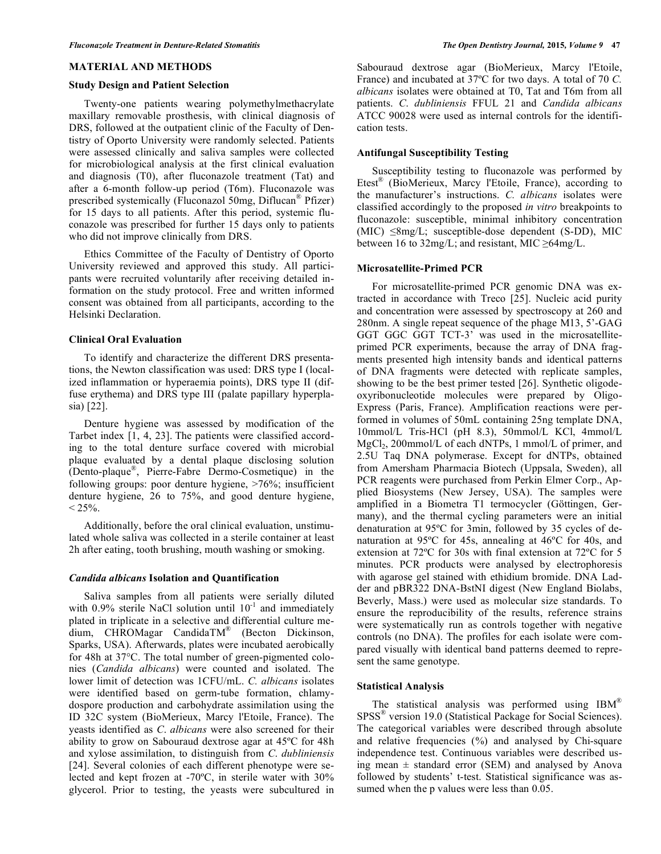#### **MATERIAL AND METHODS**

#### **Study Design and Patient Selection**

Twenty-one patients wearing polymethylmethacrylate maxillary removable prosthesis, with clinical diagnosis of DRS, followed at the outpatient clinic of the Faculty of Dentistry of Oporto University were randomly selected. Patients were assessed clinically and saliva samples were collected for microbiological analysis at the first clinical evaluation and diagnosis (T0), after fluconazole treatment (Tat) and after a 6-month follow-up period (T6m). Fluconazole was prescribed systemically (Fluconazol 50mg, Diflucan® Pfizer) for 15 days to all patients. After this period, systemic fluconazole was prescribed for further 15 days only to patients who did not improve clinically from DRS.

Ethics Committee of the Faculty of Dentistry of Oporto University reviewed and approved this study. All participants were recruited voluntarily after receiving detailed information on the study protocol. Free and written informed consent was obtained from all participants, according to the Helsinki Declaration.

## **Clinical Oral Evaluation**

To identify and characterize the different DRS presentations, the Newton classification was used: DRS type I (localized inflammation or hyperaemia points), DRS type II (diffuse erythema) and DRS type III (palate papillary hyperplasia) [22].

Denture hygiene was assessed by modification of the Tarbet index [1, 4, 23]. The patients were classified according to the total denture surface covered with microbial plaque evaluated by a dental plaque disclosing solution (Dento-plaque®, Pierre-Fabre Dermo-Cosmetique) in the following groups: poor denture hygiene, >76%; insufficient denture hygiene, 26 to 75%, and good denture hygiene,  $< 25\%$ .

Additionally, before the oral clinical evaluation, unstimulated whole saliva was collected in a sterile container at least 2h after eating, tooth brushing, mouth washing or smoking.

### *Candida albicans* **Isolation and Quantification**

Saliva samples from all patients were serially diluted with  $0.9\%$  sterile NaCl solution until  $10^{-1}$  and immediately plated in triplicate in a selective and differential culture medium, CHROMagar CandidaTM® (Becton Dickinson, Sparks, USA). Afterwards, plates were incubated aerobically for 48h at 37°C. The total number of green-pigmented colonies (*Candida albicans*) were counted and isolated. The lower limit of detection was 1CFU/mL. *C. albicans* isolates were identified based on germ-tube formation, chlamydospore production and carbohydrate assimilation using the ID 32C system (BioMerieux, Marcy l'Etoile, France). The yeasts identified as *C*. *albicans* were also screened for their ability to grow on Sabouraud dextrose agar at 45ºC for 48h and xylose assimilation, to distinguish from *C*. *dubliniensis* [24]. Several colonies of each different phenotype were selected and kept frozen at -70ºC, in sterile water with 30% glycerol. Prior to testing, the yeasts were subcultured in Sabouraud dextrose agar (BioMerieux, Marcy l'Etoile, France) and incubated at 37ºC for two days. A total of 70 *C. albicans* isolates were obtained at T0, Tat and T6m from all patients. *C*. *dubliniensis* FFUL 21 and *Candida albicans* ATCC 90028 were used as internal controls for the identification tests.

## **Antifungal Susceptibility Testing**

Susceptibility testing to fluconazole was performed by Etest® (BioMerieux, Marcy l'Etoile, France), according to the manufacturer's instructions. *C. albicans* isolates were classified accordingly to the proposed *in vitro* breakpoints to fluconazole: susceptible, minimal inhibitory concentration  $(MIC) \leq 8mg/L$ ; susceptible-dose dependent (S-DD), MIC between 16 to  $32 \text{mg/L}$ ; and resistant, MIC  $\geq 64 \text{mg/L}$ .

# **Microsatellite-Primed PCR**

For microsatellite-primed PCR genomic DNA was extracted in accordance with Treco [25]. Nucleic acid purity and concentration were assessed by spectroscopy at 260 and 280nm. A single repeat sequence of the phage M13, 5'-GAG GGT GGC GGT TCT-3' was used in the microsatelliteprimed PCR experiments, because the array of DNA fragments presented high intensity bands and identical patterns of DNA fragments were detected with replicate samples, showing to be the best primer tested [26]. Synthetic oligodeoxyribonucleotide molecules were prepared by Oligo-Express (Paris, France). Amplification reactions were performed in volumes of 50mL containing 25ng template DNA, 10mmol/L Tris-HCl (pH 8.3), 50mmol/L KCl, 4mmol/L  $MgCl<sub>2</sub>$ , 200mmol/L of each dNTPs, 1 mmol/L of primer, and 2.5U Taq DNA polymerase. Except for dNTPs, obtained from Amersham Pharmacia Biotech (Uppsala, Sweden), all PCR reagents were purchased from Perkin Elmer Corp., Applied Biosystems (New Jersey, USA). The samples were amplified in a Biometra T1 termocycler (Göttingen, Germany), and the thermal cycling parameters were an initial denaturation at 95ºC for 3min, followed by 35 cycles of denaturation at 95ºC for 45s, annealing at 46ºC for 40s, and extension at 72ºC for 30s with final extension at 72ºC for 5 minutes. PCR products were analysed by electrophoresis with agarose gel stained with ethidium bromide. DNA Ladder and pBR322 DNA-BstNI digest (New England Biolabs, Beverly, Mass.) were used as molecular size standards. To ensure the reproducibility of the results, reference strains were systematically run as controls together with negative controls (no DNA). The profiles for each isolate were compared visually with identical band patterns deemed to represent the same genotype.

## **Statistical Analysis**

The statistical analysis was performed using IBM<sup>®</sup> SPSS® version 19.0 (Statistical Package for Social Sciences). The categorical variables were described through absolute and relative frequencies (%) and analysed by Chi-square independence test. Continuous variables were described using mean  $\pm$  standard error (SEM) and analysed by Anova followed by students' t-test. Statistical significance was assumed when the p values were less than  $0.05$ .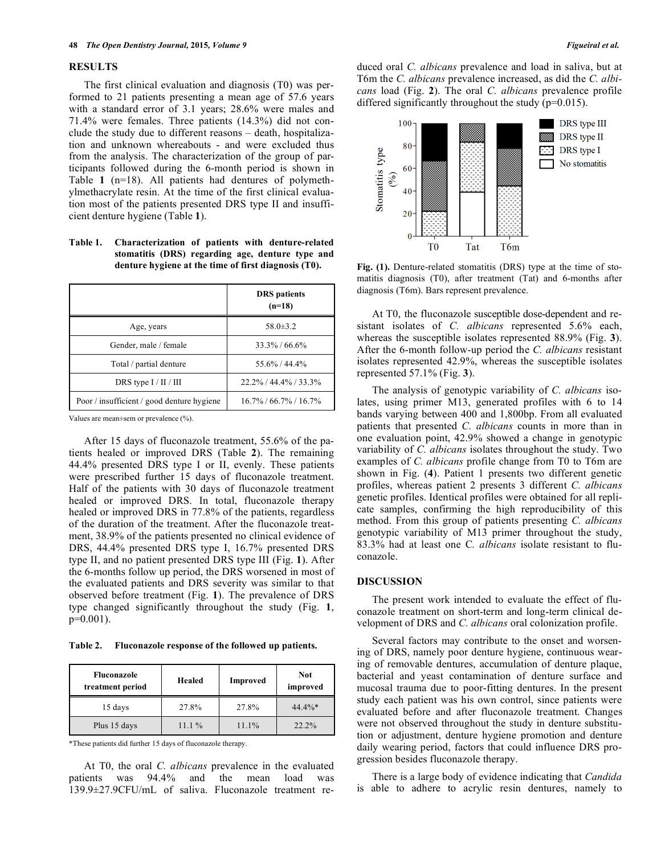## **RESULTS**

The first clinical evaluation and diagnosis (T0) was performed to 21 patients presenting a mean age of 57.6 years with a standard error of 3.1 years; 28.6% were males and 71.4% were females. Three patients (14.3%) did not conclude the study due to different reasons – death, hospitalization and unknown whereabouts - and were excluded thus from the analysis. The characterization of the group of participants followed during the 6-month period is shown in Table **1** (n=18). All patients had dentures of polymethylmethacrylate resin. At the time of the first clinical evaluation most of the patients presented DRS type II and insufficient denture hygiene (Table **1**).

**Table 1. Characterization of patients with denture-related stomatitis (DRS) regarding age, denture type and denture hygiene at the time of first diagnosis (T0).** 

|                                            | <b>DRS</b> patients<br>$(n=18)$ |  |
|--------------------------------------------|---------------------------------|--|
| $58.0 \pm 3.2$<br>Age, years               |                                 |  |
| Gender, male / female                      | $33.3\% / 66.6\%$               |  |
| Total / partial denture                    | 55.6% / 44.4%                   |  |
| DRS type $I / II / III$                    | $22.2\%$ / 44.4% / 33.3%        |  |
| Poor / insufficient / good denture hygiene | $16.7\%$ / 66.7% / 16.7%        |  |

Values are mean±sem or prevalence (%).

After 15 days of fluconazole treatment, 55.6% of the patients healed or improved DRS (Table **2**). The remaining 44.4% presented DRS type I or II, evenly. These patients were prescribed further 15 days of fluconazole treatment. Half of the patients with 30 days of fluconazole treatment healed or improved DRS. In total, fluconazole therapy healed or improved DRS in 77.8% of the patients, regardless of the duration of the treatment. After the fluconazole treatment, 38.9% of the patients presented no clinical evidence of DRS, 44.4% presented DRS type I, 16.7% presented DRS type II, and no patient presented DRS type III (Fig. **1**). After the 6-months follow up period, the DRS worsened in most of the evaluated patients and DRS severity was similar to that observed before treatment (Fig. **1**). The prevalence of DRS type changed significantly throughout the study (Fig. **1**, p=0.001).

**Table 2. Fluconazole response of the followed up patients.** 

| Fluconazole<br>treatment period | Healed | Improved | <b>Not</b><br>improved |
|---------------------------------|--------|----------|------------------------|
| 15 days                         | 27.8%  | 27.8%    | $44.4\%*$              |
| Plus 15 days                    | 11.1%  | 11.1%    | $22.2\%$               |

\*These patients did further 15 days of fluconazole therapy.

At T0, the oral *C. albicans* prevalence in the evaluated patients was 94.4% and the mean load was 139.9±27.9CFU/mL of saliva. Fluconazole treatment reduced oral *C. albicans* prevalence and load in saliva, but at T6m the *C. albicans* prevalence increased, as did the *C. albicans* load (Fig. **2**). The oral *C. albicans* prevalence profile differed significantly throughout the study  $(p=0.015)$ .



**Fig. (1).** Denture-related stomatitis (DRS) type at the time of stomatitis diagnosis (T0), after treatment (Tat) and 6-months after diagnosis (T6m). Bars represent prevalence.

At T0, the fluconazole susceptible dose-dependent and resistant isolates of *C. albicans* represented 5.6% each, whereas the susceptible isolates represented 88.9% (Fig. **3**). After the 6-month follow-up period the *C. albicans* resistant isolates represented 42.9%, whereas the susceptible isolates represented 57.1% (Fig. **3**).

The analysis of genotypic variability of *C. albicans* isolates, using primer M13, generated profiles with 6 to 14 bands varying between 400 and 1,800bp. From all evaluated patients that presented *C. albicans* counts in more than in one evaluation point, 42.9% showed a change in genotypic variability of *C. albicans* isolates throughout the study. Two examples of *C. albicans* profile change from T0 to T6m are shown in Fig. (**4**). Patient 1 presents two different genetic profiles, whereas patient 2 presents 3 different *C. albicans*  genetic profiles. Identical profiles were obtained for all replicate samples, confirming the high reproducibility of this method. From this group of patients presenting *C. albicans* genotypic variability of M13 primer throughout the study, 83.3% had at least one C*. albicans* isolate resistant to fluconazole.

# **DISCUSSION**

The present work intended to evaluate the effect of fluconazole treatment on short-term and long-term clinical development of DRS and *C. albicans* oral colonization profile.

Several factors may contribute to the onset and worsening of DRS, namely poor denture hygiene, continuous wearing of removable dentures, accumulation of denture plaque, bacterial and yeast contamination of denture surface and mucosal trauma due to poor-fitting dentures. In the present study each patient was his own control, since patients were evaluated before and after fluconazole treatment. Changes were not observed throughout the study in denture substitution or adjustment, denture hygiene promotion and denture daily wearing period, factors that could influence DRS progression besides fluconazole therapy.

There is a large body of evidence indicating that *Candida* is able to adhere to acrylic resin dentures, namely to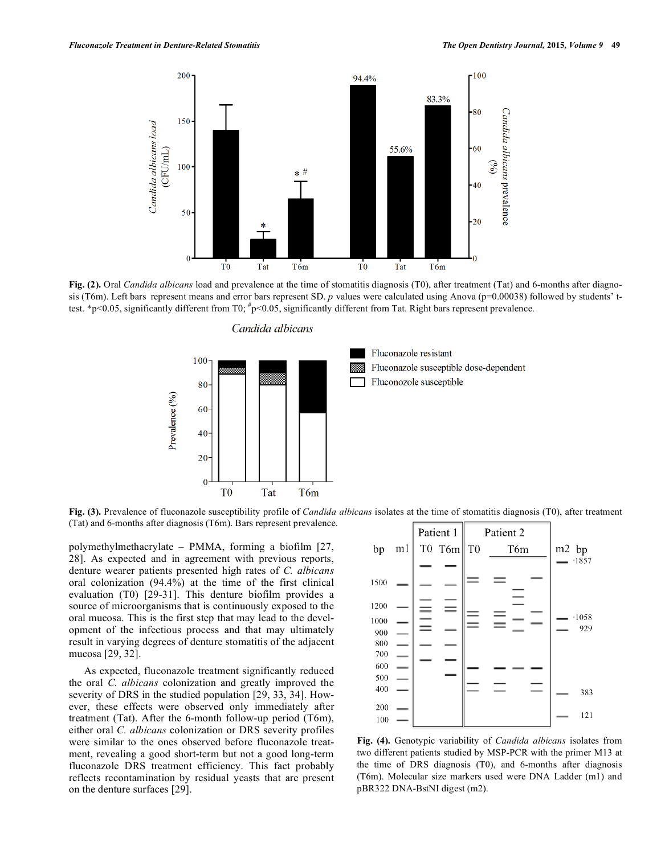

**Fig. (2).** Oral *Candida albicans* load and prevalence at the time of stomatitis diagnosis (T0), after treatment (Tat) and 6-months after diagnosis (T6m). Left bars represent means and error bars represent SD. *p* values were calculated using Anova (p=0.00038) followed by students' ttest. \*p<0.05, significantly different from T0;  $\frac{4}{3}$ p<0.05, significantly different from Tat. Right bars represent prevalence.

Candida albicans



**Fig. (3).** Prevalence of fluconazole susceptibility profile of *Candida albicans* isolates at the time of stomatitis diagnosis (T0), after treatment (Tat) and 6-months after diagnosis (T6m). Bars represent prevalence.

polymethylmethacrylate – PMMA, forming a biofilm [27, 28]. As expected and in agreement with previous reports, denture wearer patients presented high rates of *C. albicans* oral colonization (94.4%) at the time of the first clinical evaluation (T0) [29-31]. This denture biofilm provides a source of microorganisms that is continuously exposed to the oral mucosa. This is the first step that may lead to the development of the infectious process and that may ultimately result in varying degrees of denture stomatitis of the adjacent mucosa [29, 32].

As expected, fluconazole treatment significantly reduced the oral *C. albicans* colonization and greatly improved the severity of DRS in the studied population [29, 33, 34]. However, these effects were observed only immediately after treatment (Tat). After the 6-month follow-up period (T6m), either oral *C. albicans* colonization or DRS severity profiles were similar to the ones observed before fluconazole treatment, revealing a good short-term but not a good long-term fluconazole DRS treatment efficiency. This fact probably reflects recontamination by residual yeasts that are present on the denture surfaces [29].



**Fig. (4).** Genotypic variability of *Candida albicans* isolates from two different patients studied by MSP-PCR with the primer M13 at the time of DRS diagnosis (T0), and 6-months after diagnosis (T6m). Molecular size markers used were DNA Ladder (m1) and pBR322 DNA-BstNI digest (m2).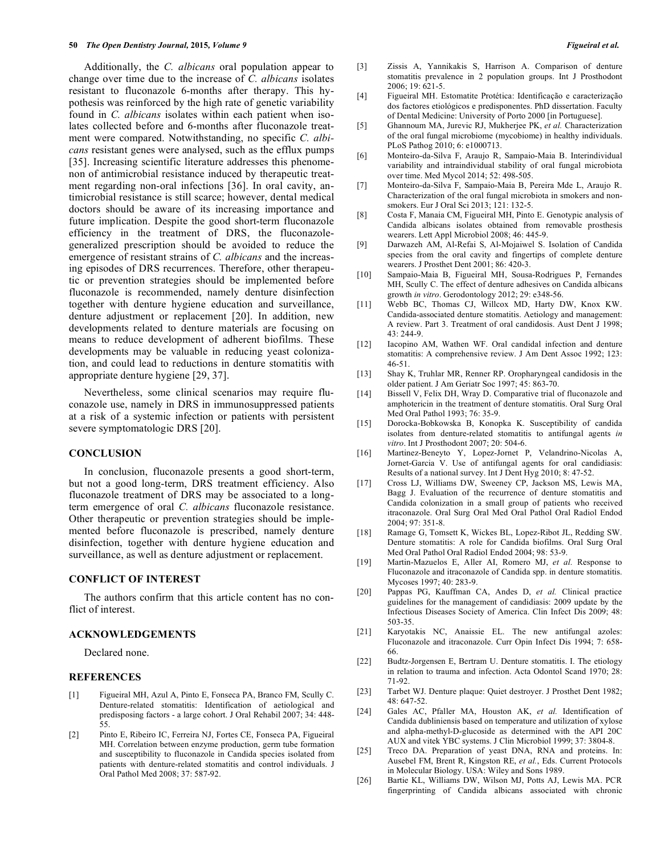#### **50** *The Open Dentistry Journal,* **2015***, Volume 9 Figueiral et al.*

Additionally, the *C. albicans* oral population appear to change over time due to the increase of *C. albicans* isolates resistant to fluconazole 6-months after therapy. This hypothesis was reinforced by the high rate of genetic variability found in *C. albicans* isolates within each patient when isolates collected before and 6-months after fluconazole treatment were compared. Notwithstanding, no specific *C. albicans* resistant genes were analysed, such as the efflux pumps [35]. Increasing scientific literature addresses this phenomenon of antimicrobial resistance induced by therapeutic treatment regarding non-oral infections [36]. In oral cavity, antimicrobial resistance is still scarce; however, dental medical doctors should be aware of its increasing importance and future implication. Despite the good short-term fluconazole efficiency in the treatment of DRS, the fluconazolegeneralized prescription should be avoided to reduce the emergence of resistant strains of *C. albicans* and the increasing episodes of DRS recurrences. Therefore, other therapeutic or prevention strategies should be implemented before fluconazole is recommended, namely denture disinfection together with denture hygiene education and surveillance, denture adjustment or replacement [20]. In addition, new developments related to denture materials are focusing on means to reduce development of adherent biofilms. These developments may be valuable in reducing yeast colonization, and could lead to reductions in denture stomatitis with appropriate denture hygiene [29, 37].

Nevertheless, some clinical scenarios may require fluconazole use, namely in DRS in immunosuppressed patients at a risk of a systemic infection or patients with persistent severe symptomatologic DRS [20].

#### **CONCLUSION**

In conclusion, fluconazole presents a good short-term, but not a good long-term, DRS treatment efficiency. Also fluconazole treatment of DRS may be associated to a longterm emergence of oral *C. albicans* fluconazole resistance. Other therapeutic or prevention strategies should be implemented before fluconazole is prescribed, namely denture disinfection, together with denture hygiene education and surveillance, as well as denture adjustment or replacement.

#### **CONFLICT OF INTEREST**

The authors confirm that this article content has no conflict of interest.

#### **ACKNOWLEDGEMENTS**

Declared none.

# **REFERENCES**

- [1] Figueiral MH, Azul A, Pinto E, Fonseca PA, Branco FM, Scully C. Denture-related stomatitis: Identification of aetiological and predisposing factors - a large cohort. J Oral Rehabil 2007; 34: 448- 55.
- [2] Pinto E, Ribeiro IC, Ferreira NJ, Fortes CE, Fonseca PA, Figueiral MH. Correlation between enzyme production, germ tube formation and susceptibility to fluconazole in Candida species isolated from patients with denture-related stomatitis and control individuals. J Oral Pathol Med 2008; 37: 587-92.
- [3] Zissis A, Yannikakis S, Harrison A. Comparison of denture stomatitis prevalence in 2 population groups. Int J Prosthodont 2006; 19: 621-5.
- [4] Figueiral MH. Estomatite Protética: Identificação e caracterização dos factores etiológicos e predisponentes. PhD dissertation. Faculty of Dental Medicine: University of Porto 2000 [in Portuguese].
- [5] Ghannoum MA, Jurevic RJ, Mukherjee PK, *et al.* Characterization of the oral fungal microbiome (mycobiome) in healthy individuals. PLoS Pathog 2010; 6: e1000713.
- [6] Monteiro-da-Silva F, Araujo R, Sampaio-Maia B. Interindividual variability and intraindividual stability of oral fungal microbiota over time. Med Mycol 2014; 52: 498-505.
- [7] Monteiro-da-Silva F, Sampaio-Maia B, Pereira Mde L, Araujo R. Characterization of the oral fungal microbiota in smokers and nonsmokers. Eur J Oral Sci 2013; 121: 132-5.
- [8] Costa F, Manaia CM, Figueiral MH, Pinto E. Genotypic analysis of Candida albicans isolates obtained from removable prosthesis wearers. Lett Appl Microbiol 2008; 46: 445-9.
- [9] Darwazeh AM, Al-Refai S, Al-Mojaiwel S. Isolation of Candida species from the oral cavity and fingertips of complete denture wearers. J Prosthet Dent 2001; 86: 420-3.
- [10] Sampaio-Maia B, Figueiral MH, Sousa-Rodrigues P, Fernandes MH, Scully C. The effect of denture adhesives on Candida albicans growth *in vitro*. Gerodontology 2012; 29: e348-56.
- [11] Webb BC, Thomas CJ, Willcox MD, Harty DW, Knox KW. Candida-associated denture stomatitis. Aetiology and management: A review. Part 3. Treatment of oral candidosis. Aust Dent J 1998; 43: 244-9.
- [12] Iacopino AM, Wathen WF. Oral candidal infection and denture stomatitis: A comprehensive review. J Am Dent Assoc 1992; 123: 46-51.
- [13] Shay K, Truhlar MR, Renner RP. Oropharyngeal candidosis in the older patient. J Am Geriatr Soc 1997; 45: 863-70.
- [14] Bissell V, Felix DH, Wray D. Comparative trial of fluconazole and amphotericin in the treatment of denture stomatitis. Oral Surg Oral Med Oral Pathol 1993; 76: 35-9.
- [15] Dorocka-Bobkowska B, Konopka K. Susceptibility of candida isolates from denture-related stomatitis to antifungal agents *in vitro*. Int J Prosthodont 2007; 20: 504-6.
- [16] Martinez-Beneyto Y, Lopez-Jornet P, Velandrino-Nicolas A, Jornet-Garcia V. Use of antifungal agents for oral candidiasis: Results of a national survey. Int J Dent Hyg 2010; 8: 47-52.
- [17] Cross LJ, Williams DW, Sweeney CP, Jackson MS, Lewis MA, Bagg J. Evaluation of the recurrence of denture stomatitis and Candida colonization in a small group of patients who received itraconazole. Oral Surg Oral Med Oral Pathol Oral Radiol Endod 2004; 97: 351-8.
- [18] Ramage G, Tomsett K, Wickes BL, Lopez-Ribot JL, Redding SW. Denture stomatitis: A role for Candida biofilms. Oral Surg Oral Med Oral Pathol Oral Radiol Endod 2004; 98: 53-9.
- [19] Martin-Mazuelos E, Aller AI, Romero MJ, *et al.* Response to Fluconazole and itraconazole of Candida spp. in denture stomatitis. Mycoses 1997; 40: 283-9.
- [20] Pappas PG, Kauffman CA, Andes D, *et al.* Clinical practice guidelines for the management of candidiasis: 2009 update by the Infectious Diseases Society of America. Clin Infect Dis 2009; 48: 503-35.
- [21] Karyotakis NC, Anaissie EL. The new antifungal azoles: Fluconazole and itraconazole. Curr Opin Infect Dis 1994; 7: 658- 66.
- [22] Budtz-Jorgensen E, Bertram U. Denture stomatitis. I. The etiology in relation to trauma and infection. Acta Odontol Scand 1970; 28: 71-92.
- [23] Tarbet WJ. Denture plaque: Quiet destroyer. J Prosthet Dent 1982; 48: 647-52.
- [24] Gales AC, Pfaller MA, Houston AK, *et al.* Identification of Candida dubliniensis based on temperature and utilization of xylose and alpha-methyl-D-glucoside as determined with the API 20C AUX and vitek YBC systems. J Clin Microbiol 1999; 37: 3804-8.
- [25] Treco DA. Preparation of yeast DNA, RNA and proteins. In: Ausebel FM, Brent R, Kingston RE, *et al.*, Eds. Current Protocols in Molecular Biology. USA: Wiley and Sons 1989.
- [26] Bartie KL, Williams DW, Wilson MJ, Potts AJ, Lewis MA. PCR fingerprinting of Candida albicans associated with chronic